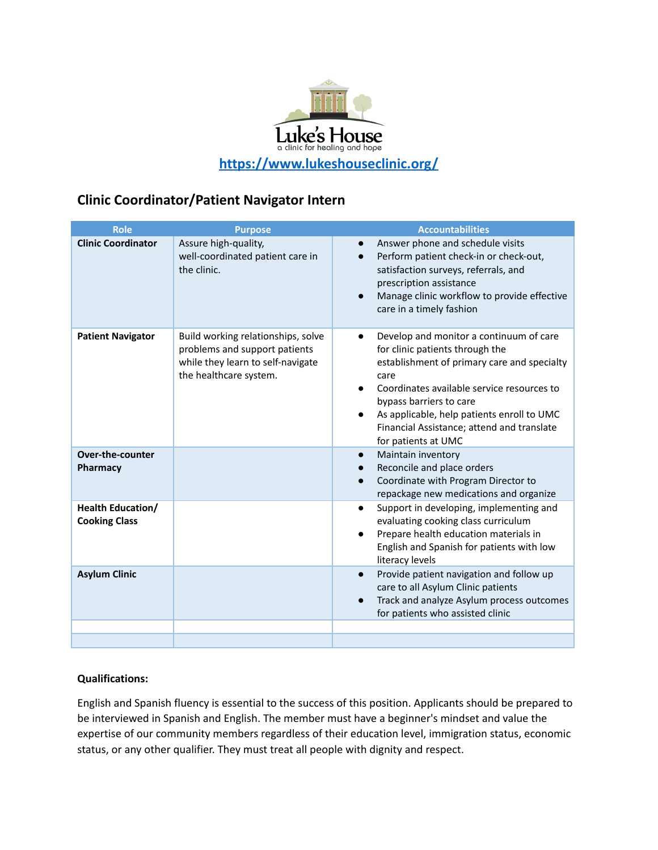

# **Clinic Coordinator/Patient Navigator Intern**

| <b>Role</b>                                      | <b>Purpose</b>                                                                                                                     | <b>Accountabilities</b>                                                                                                                                                                                                                                                                                                                                 |
|--------------------------------------------------|------------------------------------------------------------------------------------------------------------------------------------|---------------------------------------------------------------------------------------------------------------------------------------------------------------------------------------------------------------------------------------------------------------------------------------------------------------------------------------------------------|
| <b>Clinic Coordinator</b>                        | Assure high-quality,<br>well-coordinated patient care in<br>the clinic.                                                            | Answer phone and schedule visits<br>$\bullet$<br>Perform patient check-in or check-out,<br>satisfaction surveys, referrals, and<br>prescription assistance<br>Manage clinic workflow to provide effective<br>care in a timely fashion                                                                                                                   |
| <b>Patient Navigator</b>                         | Build working relationships, solve<br>problems and support patients<br>while they learn to self-navigate<br>the healthcare system. | Develop and monitor a continuum of care<br>$\bullet$<br>for clinic patients through the<br>establishment of primary care and specialty<br>care<br>Coordinates available service resources to<br>$\bullet$<br>bypass barriers to care<br>As applicable, help patients enroll to UMC<br>Financial Assistance; attend and translate<br>for patients at UMC |
| <b>Over-the-counter</b><br>Pharmacy              |                                                                                                                                    | Maintain inventory<br>$\bullet$<br>Reconcile and place orders<br>$\bullet$<br>Coordinate with Program Director to<br>$\bullet$<br>repackage new medications and organize                                                                                                                                                                                |
| <b>Health Education/</b><br><b>Cooking Class</b> |                                                                                                                                    | Support in developing, implementing and<br>$\bullet$<br>evaluating cooking class curriculum<br>Prepare health education materials in<br>English and Spanish for patients with low<br>literacy levels                                                                                                                                                    |
| <b>Asylum Clinic</b>                             |                                                                                                                                    | Provide patient navigation and follow up<br>$\bullet$<br>care to all Asylum Clinic patients<br>Track and analyze Asylum process outcomes<br>$\bullet$<br>for patients who assisted clinic                                                                                                                                                               |
|                                                  |                                                                                                                                    |                                                                                                                                                                                                                                                                                                                                                         |
|                                                  |                                                                                                                                    |                                                                                                                                                                                                                                                                                                                                                         |

## **Qualifications:**

English and Spanish fluency is essential to the success of this position. Applicants should be prepared to be interviewed in Spanish and English. The member must have a beginner's mindset and value the expertise of our community members regardless of their education level, immigration status, economic status, or any other qualifier. They must treat all people with dignity and respect.